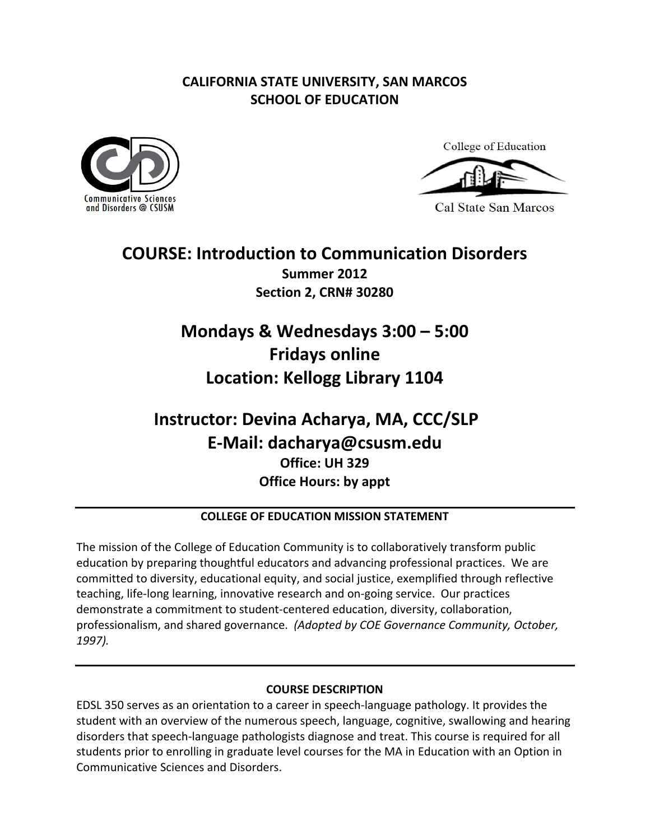### **CALIFORNIA STATE UNIVERSITY, SAN MARCOS SCHOOL OF EDUCATION**





**Cal State San Marcos** 

### **COURSE: Introduction to Communication Disorders Summer 2012 Section 2, CRN# 30280**

# **Mondays & Wednesdays 3:00 – 5:00 Fridays online Location: Kellogg Library 1104**

## **Instructor: Devina Acharya, MA, CCC/SLP Office: UH 329 Office Hours: by appt E‐Mail: dacharya@csusm.edu**

#### **COLLEGE OF EDUCATION MISSION STATEMENT**

 The mission of the College of Education Community is to collaboratively transform public education by preparing thoughtful educators and advancing professional practices. We are committed to diversity, educational equity, and social justice, exemplified through reflective teaching, life‐long learning, innovative research and on‐going service. Our practices demonstrate a commitment to student‐centered education, diversity, collaboration,  professionalism, and shared governance. *(Adopted by COE Governance Community, October, 1997).*

#### **COURSE DESCRIPTION**

 EDSL 350 serves as an orientation to a career in speech‐language pathology. It provides the student with an overview of the numerous speech, language, cognitive, swallowing and hearing disorders that speech‐language pathologists diagnose and treat. This course is required for all students prior to enrolling in graduate level courses for the MA in Education with an Option in Communicative Sciences and Disorders.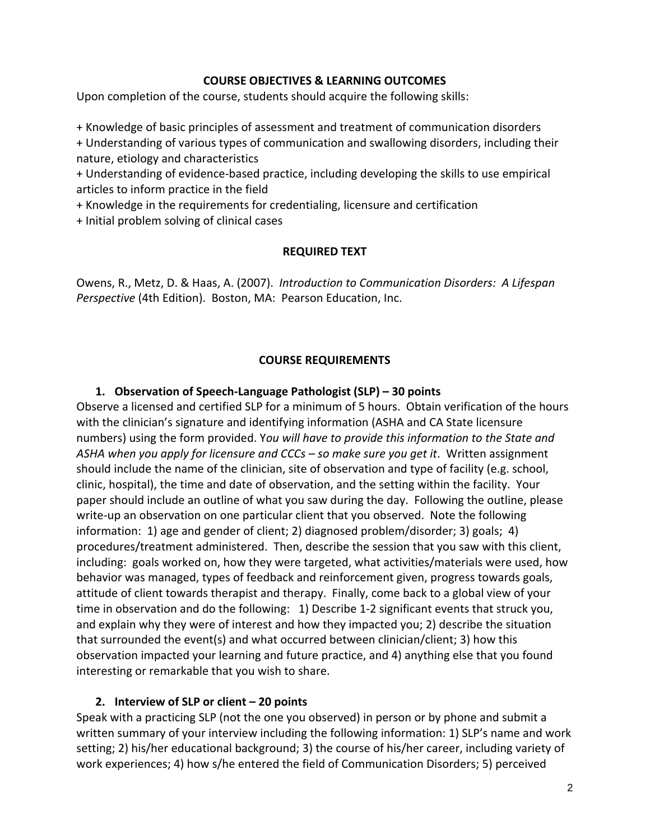#### **COURSE OBJECTIVES & LEARNING OUTCOMES**

Upon completion of the course, students should acquire the following skills:

+ Knowledge of basic principles of assessment and treatment of communication disorders

 + Understanding of various types of communication and swallowing disorders, including their nature, etiology and characteristics

 + Understanding of evidence‐based practice, including developing the skills to use empirical articles to inform practice in the field

+ Knowledge in the requirements for credentialing, licensure and certification

+ Initial problem solving of clinical cases

#### **REQUIRED TEXT**

  Owens, R., Metz, D. & Haas, A. (2007). *Introduction to Communication Disorders: A Lifespan Perspective* (4th Edition). Boston, MA: Pearson Education, Inc.

#### **COURSE REQUIREMENTS**

#### **1. Observation of Speech‐Language Pathologist (SLP) – 30 points**

 Observe a licensed and certified SLP for a minimum of 5 hours. Obtain verification of the hours with the clinician's signature and identifying information (ASHA and CA State licensure  numbers) using the form provided. Y*ou will have to provide this information to the State and* ASHA when you apply for licensure and CCCs – so make sure you get it. Written assignment should include the name of the clinician, site of observation and type of facility (e.g. school, clinic, hospital), the time and date of observation, and the setting within the facility. Your paper should include an outline of what you saw during the day. Following the outline, please write‐up an observation on one particular client that you observed. Note the following information: 1) age and gender of client; 2) diagnosed problem/disorder; 3) goals; 4) procedures/treatment administered. Then, describe the session that you saw with this client, including: goals worked on, how they were targeted, what activities/materials were used, how behavior was managed, types of feedback and reinforcement given, progress towards goals, attitude of client towards therapist and therapy. Finally, come back to a global view of your time in observation and do the following: 1) Describe 1‐2 significant events that struck you, and explain why they were of interest and how they impacted you; 2) describe the situation that surrounded the event(s) and what occurred between clinician/client; 3) how this observation impacted your learning and future practice, and 4) anything else that you found interesting or remarkable that you wish to share.

#### **2. Interview of SLP or client – 20 points**

 Speak with a practicing SLP (not the one you observed) in person or by phone and submit a written summary of your interview including the following information: 1) SLP's name and work setting; 2) his/her educational background; 3) the course of his/her career, including variety of work experiences; 4) how s/he entered the field of Communication Disorders; 5) perceived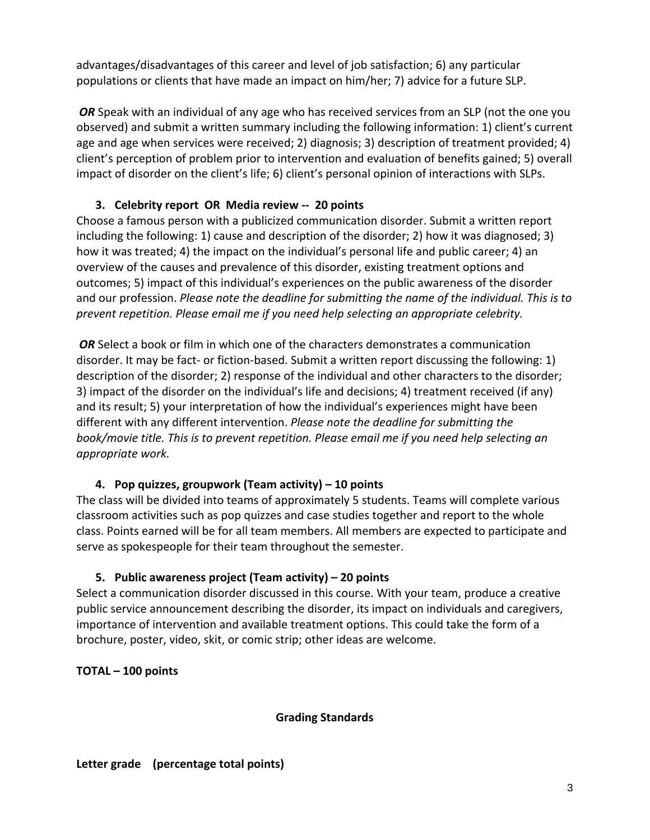advantages/disadvantages of this career and level of job satisfaction; 6) any particular populations or clients that have made an impact on him/her; 7) advice for a future SLP.

**OR** Speak with an individual of any age who has received services from an SLP (not the one you observed) and submit a written summary including the following information: 1) client's current age and age when services were received; 2) diagnosis; 3) description of treatment provided; 4) client's perception of problem prior to intervention and evaluation of benefits gained; 5) overall impact of disorder on the client's life; 6) client's personal opinion of interactions with SLPs.

#### **3. Celebrity report OR Media review ‐‐ 20 points**

 Choose a famous person with a publicized communication disorder. Submit a written report including the following: 1) cause and description of the disorder; 2) how it was diagnosed; 3) how it was treated; 4) the impact on the individual's personal life and public career; 4) an overview of the causes and prevalence of this disorder, existing treatment options and outcomes; 5) impact of this individual's experiences on the public awareness of the disorder and our profession. Please note the deadline for submitting the name of the individual. This is to  *prevent repetition. Please email me if you need help selecting an appropriate celebrity.*

*OR* Select a book or film in which one of the characters demonstrates a communication disorder. It may be fact‐ or fiction‐based. Submit a written report discussing the following: 1) description of the disorder; 2) response of the individual and other characters to the disorder; 3) impact of the disorder on the individual's life and decisions; 4) treatment received (if any) and its result; 5) your interpretation of how the individual's experiences might have been  different with any different intervention. *Please note the deadline for submitting the* book/movie title. This is to prevent repetition. Please email me if you need help selecting an *appropriate work.*

#### **4. Pop quizzes, groupwork (Team activity) – 10 points**

 The class will be divided into teams of approximately 5 students. Teams will complete various classroom activities such as pop quizzes and case studies together and report to the whole class. Points earned will be for all team members. All members are expected to participate and serve as spokespeople for their team throughout the semester.

#### **5. Public awareness project (Team activity) – 20 points**

 Select a communication disorder discussed in this course. With your team, produce a creative public service announcement describing the disorder, its impact on individuals and caregivers, importance of intervention and available treatment options. This could take the form of a brochure, poster, video, skit, or comic strip; other ideas are welcome.

 **TOTAL – 100 points**

#### **Grading Standards**

#### **Letter grade (percentage total points)**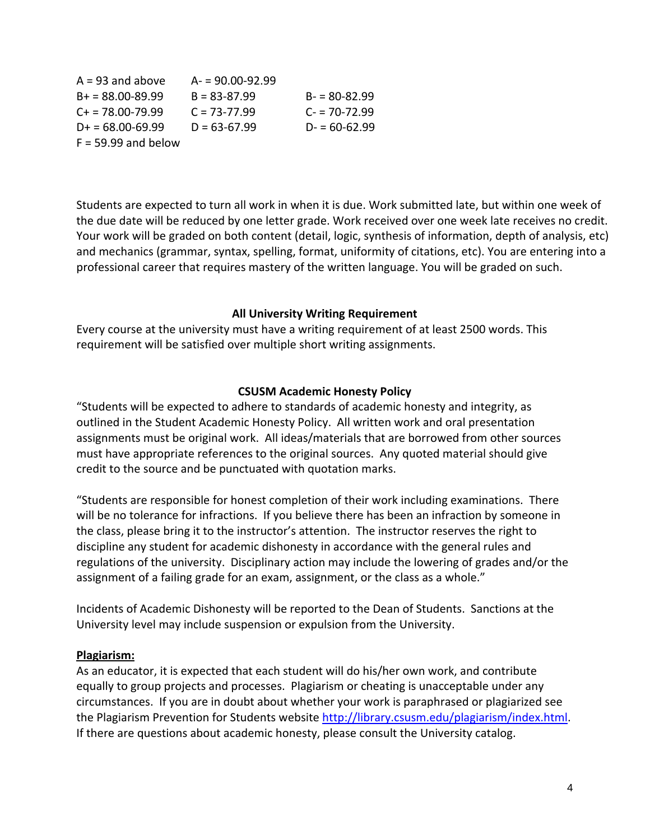| $A = 93$ and above      | $A = 90.00 - 92.99$ |                  |
|-------------------------|---------------------|------------------|
| $B_+ = 88.00 - 89.99$   | $B = 83 - 87.99$    | $B = 80-82.99$   |
| $C_{\pm}$ = 78.00-79.99 | $C = 73 - 77.99$    | $C = 70 - 72.99$ |
| $D_{+} = 68.00 - 69.99$ | $D = 63-67.99$      | $D = 60-62.99$   |
| $F = 59.99$ and below   |                     |                  |

 Students are expected to turn all work in when it is due. Work submitted late, but within one week of the due date will be reduced by one letter grade. Work received over one week late receives no credit. Your work will be graded on both content (detail, logic, synthesis of information, depth of analysis, etc) and mechanics (grammar, syntax, spelling, format, uniformity of citations, etc). You are entering into a professional career that requires mastery of the written language. You will be graded on such.

#### **All University Writing Requirement**

 Every course at the university must have a writing requirement of at least 2500 words. This requirement will be satisfied over multiple short writing assignments.

#### **CSUSM Academic Honesty Policy**

 "Students will be expected to adhere to standards of academic honesty and integrity, as outlined in the Student Academic Honesty Policy. All written work and oral presentation assignments must be original work. All ideas/materials that are borrowed from other sources must have appropriate references to the original sources. Any quoted material should give credit to the source and be punctuated with quotation marks.

 "Students are responsible for honest completion of their work including examinations. There will be no tolerance for infractions. If you believe there has been an infraction by someone in the class, please bring it to the instructor's attention. The instructor reserves the right to discipline any student for academic dishonesty in accordance with the general rules and regulations of the university. Disciplinary action may include the lowering of grades and/or the assignment of a failing grade for an exam, assignment, or the class as a whole."

 Incidents of Academic Dishonesty will be reported to the Dean of Students. Sanctions at the University level may include suspension or expulsion from the University.

#### **Plagiarism:**

 As an educator, it is expected that each student will do his/her own work, and contribute equally to group projects and processes. Plagiarism or cheating is unacceptable under any circumstances. If you are in doubt about whether your work is paraphrased or plagiarized see the Plagiarism Prevention for Students website http://library.csusm.edu/plagiarism/index.html. If there are questions about academic honesty, please consult the University catalog.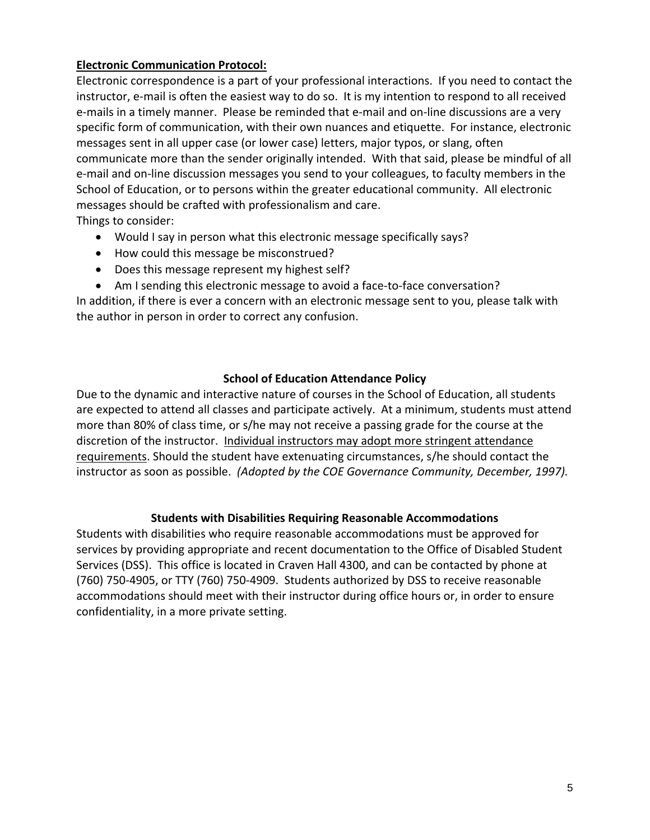#### **Electronic Communication Protocol:**

 Electronic correspondence is a part of your professional interactions. If you need to contact the instructor, e‐mail is often the easiest way to do so. It is my intention to respond to all received e‐mails in a timely manner. Please be reminded that e‐mail and on‐line discussions are a very specific form of communication, with their own nuances and etiquette. For instance, electronic messages sent in all upper case (or lower case) letters, major typos, or slang, often communicate more than the sender originally intended. With that said, please be mindful of all e‐mail and on‐line discussion messages you send to your colleagues, to faculty members in the School of Education, or to persons within the greater educational community. All electronic messages should be crafted with professionalism and care. Things to consider:

- Would I say in person what this electronic message specifically says?
- How could this message be misconstrued?
- Does this message represent my highest self?
- Am I sending this electronic message to avoid a face-to-face conversation?

 In addition, if there is ever a concern with an electronic message sent to you, please talk with the author in person in order to correct any confusion.

#### **School of Education Attendance Policy**

 Due to the dynamic and interactive nature of courses in the School of Education, all students are expected to attend all classes and participate actively. At a minimum, students must attend more than 80% of class time, or s/he may not receive a passing grade for the course at the discretion of the instructor. Individual instructors may adopt more stringent attendance requirements. Should the student have extenuating circumstances, s/he should contact the  instructor as soon as possible. *(Adopted by the COE Governance Community, December, 1997).*

#### **Students with Disabilities Requiring Reasonable Accommodations**

 Students with disabilities who require reasonable accommodations must be approved for services by providing appropriate and recent documentation to the Office of Disabled Student Services (DSS). This office is located in Craven Hall 4300, and can be contacted by phone at (760) 750‐4905, or TTY (760) 750‐4909. Students authorized by DSS to receive reasonable accommodations should meet with their instructor during office hours or, in order to ensure confidentiality, in a more private setting.